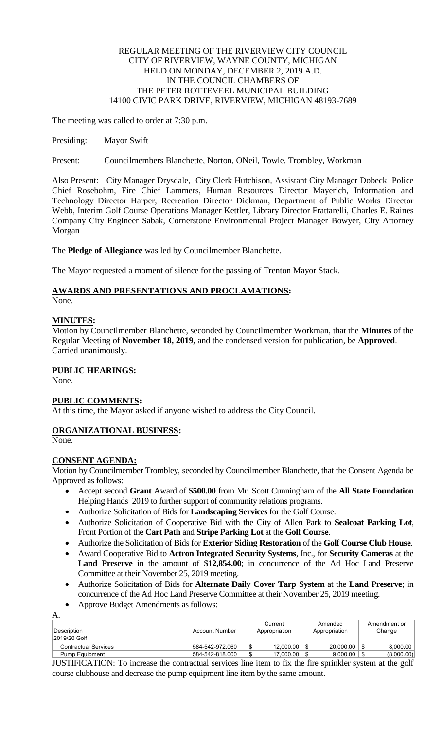# REGULAR MEETING OF THE RIVERVIEW CITY COUNCIL CITY OF RIVERVIEW, WAYNE COUNTY, MICHIGAN HELD ON MONDAY, DECEMBER 2, 2019 A.D. IN THE COUNCIL CHAMBERS OF THE PETER ROTTEVEEL MUNICIPAL BUILDING 14100 CIVIC PARK DRIVE, RIVERVIEW, MICHIGAN 48193-7689

The meeting was called to order at 7:30 p.m.

Presiding: Mayor Swift

Present: Councilmembers Blanchette, Norton, ONeil, Towle, Trombley, Workman

Also Present: City Manager Drysdale, City Clerk Hutchison, Assistant City Manager Dobeck Police Chief Rosebohm, Fire Chief Lammers, Human Resources Director Mayerich, Information and Technology Director Harper, Recreation Director Dickman, Department of Public Works Director Webb, Interim Golf Course Operations Manager Kettler, Library Director Frattarelli, Charles E. Raines Company City Engineer Sabak, Cornerstone Environmental Project Manager Bowyer, City Attorney Morgan

The **Pledge of Allegiance** was led by Councilmember Blanchette.

The Mayor requested a moment of silence for the passing of Trenton Mayor Stack.

# **AWARDS AND PRESENTATIONS AND PROCLAMATIONS:**

None.

# **MINUTES:**

Motion by Councilmember Blanchette, seconded by Councilmember Workman, that the **Minutes** of the Regular Meeting of **November 18, 2019,** and the condensed version for publication, be **Approved**. Carried unanimously.

# **PUBLIC HEARINGS:**

None.

# **PUBLIC COMMENTS:**

At this time, the Mayor asked if anyone wished to address the City Council.

# **ORGANIZATIONAL BUSINESS:**

None.

# **CONSENT AGENDA:**

Motion by Councilmember Trombley, seconded by Councilmember Blanchette, that the Consent Agenda be Approved as follows:

- Accept second **Grant** Award of **\$500.00** from Mr. Scott Cunningham of the **All State Foundation** Helping Hands 2019 to further support of community relations programs.
- Authorize Solicitation of Bids for **Landscaping Services** for the Golf Course.
- Authorize Solicitation of Cooperative Bid with the City of Allen Park to **Sealcoat Parking Lot**, Front Portion of the **Cart Path** and **Stripe Parking Lot** at the **Golf Course**.
- Authorize the Solicitation of Bids for **Exterior Siding Restoration** of the **Golf Course Club House**.
- Award Cooperative Bid to **Actron Integrated Security Systems**, Inc., for **Security Cameras** at the **Land Preserve** in the amount of \$**12,854.00**; in concurrence of the Ad Hoc Land Preserve Committee at their November 25, 2019 meeting.
- Authorize Solicitation of Bids for **Alternate Daily Cover Tarp System** at the **Land Preserve**; in concurrence of the Ad Hoc Land Preserve Committee at their November 25, 2019 meeting.
- Approve Budget Amendments as follows:

A. Description Account Number **Current** Appropriation Amended Appropriation Amendment or Change 2019/20 Golf Contractual Services 684-542-972.060  $\frac{1}{12}$  584-542-972.060  $\frac{1}{2}$  12,000.00  $\frac{1}{2}$  20,000.00  $\frac{1}{3}$  8,000.00 Pump Equipment 1991 | 584-542-818.000 | \$ 17,000.00 | \$ 9,000.00 | \$ 9,000.00 | \$ (8,000.00)

JUSTIFICATION: To increase the contractual services line item to fix the fire sprinkler system at the golf course clubhouse and decrease the pump equipment line item by the same amount.